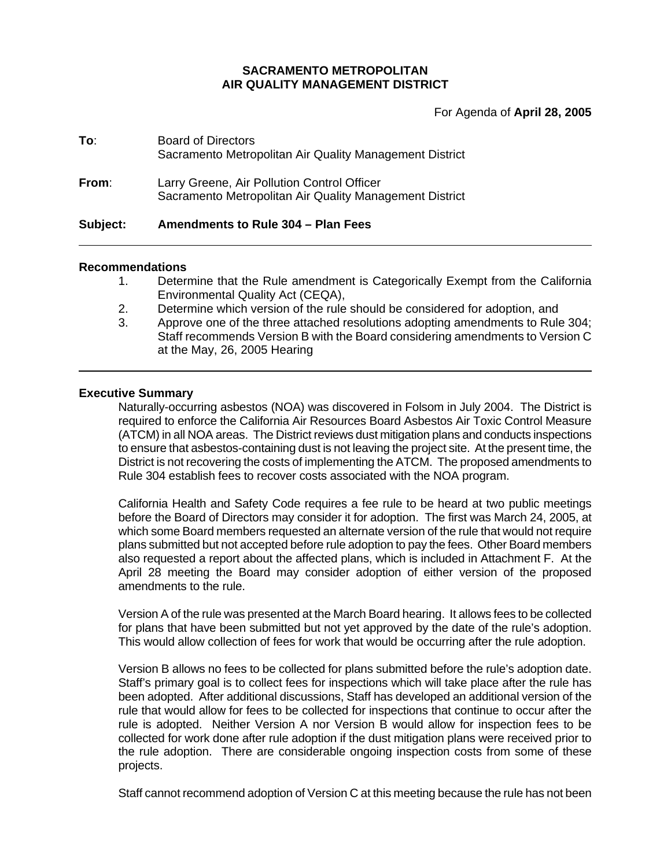### **SACRAMENTO METROPOLITAN AIR QUALITY MANAGEMENT DISTRICT**

For Agenda of **April 28, 2005**

| Subject: | Amendments to Rule 304 - Plan Fees                                                                     |
|----------|--------------------------------------------------------------------------------------------------------|
| From:    | Larry Greene, Air Pollution Control Officer<br>Sacramento Metropolitan Air Quality Management District |
| To:      | <b>Board of Directors</b><br>Sacramento Metropolitan Air Quality Management District                   |

### **Recommendations**

- 1. Determine that the Rule amendment is Categorically Exempt from the California Environmental Quality Act (CEQA),
- 2. Determine which version of the rule should be considered for adoption, and
- 3. Approve one of the three attached resolutions adopting amendments to Rule 304; Staff recommends Version B with the Board considering amendments to Version C at the May, 26, 2005 Hearing

### **Executive Summary**

Naturally-occurring asbestos (NOA) was discovered in Folsom in July 2004. The District is required to enforce the California Air Resources Board Asbestos Air Toxic Control Measure (ATCM) in all NOA areas. The District reviews dust mitigation plans and conducts inspections to ensure that asbestos-containing dust is not leaving the project site. At the present time, the District is not recovering the costs of implementing the ATCM. The proposed amendments to Rule 304 establish fees to recover costs associated with the NOA program.

California Health and Safety Code requires a fee rule to be heard at two public meetings before the Board of Directors may consider it for adoption. The first was March 24, 2005, at which some Board members requested an alternate version of the rule that would not require plans submitted but not accepted before rule adoption to pay the fees. Other Board members also requested a report about the affected plans, which is included in Attachment F. At the April 28 meeting the Board may consider adoption of either version of the proposed amendments to the rule.

Version A of the rule was presented at the March Board hearing. It allows fees to be collected for plans that have been submitted but not yet approved by the date of the rule's adoption. This would allow collection of fees for work that would be occurring after the rule adoption.

Version B allows no fees to be collected for plans submitted before the rule's adoption date. Staff's primary goal is to collect fees for inspections which will take place after the rule has been adopted. After additional discussions, Staff has developed an additional version of the rule that would allow for fees to be collected for inspections that continue to occur after the rule is adopted. Neither Version A nor Version B would allow for inspection fees to be collected for work done after rule adoption if the dust mitigation plans were received prior to the rule adoption. There are considerable ongoing inspection costs from some of these projects.

Staff cannot recommend adoption of Version C at this meeting because the rule has not been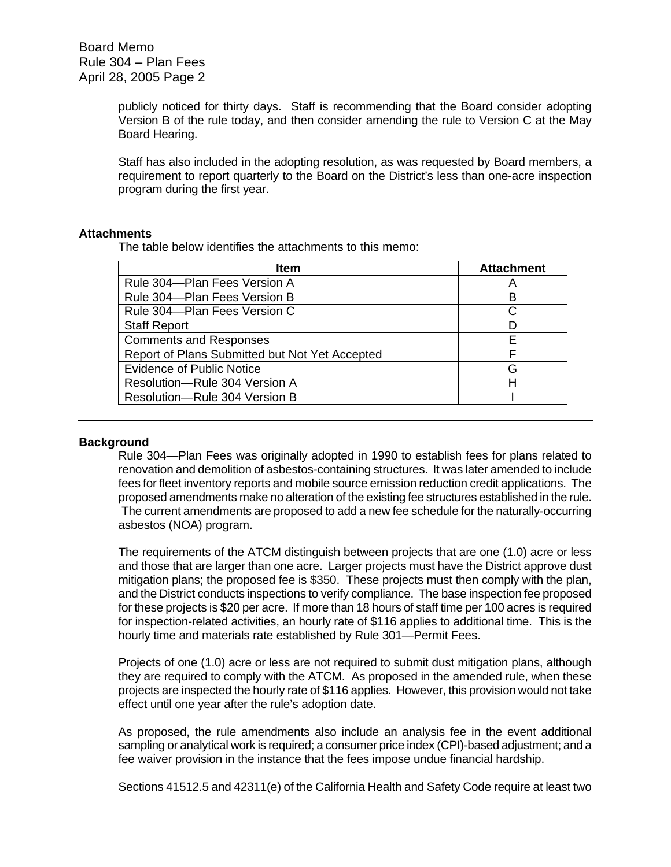publicly noticed for thirty days. Staff is recommending that the Board consider adopting Version B of the rule today, and then consider amending the rule to Version C at the May Board Hearing.

Staff has also included in the adopting resolution, as was requested by Board members, a requirement to report quarterly to the Board on the District's less than one-acre inspection program during the first year.

### **Attachments**

The table below identifies the attachments to this memo:

| <b>Item</b>                                    | <b>Attachment</b> |
|------------------------------------------------|-------------------|
| Rule 304-Plan Fees Version A                   |                   |
| Rule 304-Plan Fees Version B                   |                   |
| Rule 304-Plan Fees Version C                   |                   |
| <b>Staff Report</b>                            |                   |
| <b>Comments and Responses</b>                  |                   |
| Report of Plans Submitted but Not Yet Accepted |                   |
| <b>Evidence of Public Notice</b>               | ናት                |
| Resolution-Rule 304 Version A                  |                   |
| Resolution-Rule 304 Version B                  |                   |

### **Background**

Rule 304—Plan Fees was originally adopted in 1990 to establish fees for plans related to renovation and demolition of asbestos-containing structures. It was later amended to include fees for fleet inventory reports and mobile source emission reduction credit applications. The proposed amendments make no alteration of the existing fee structures established in the rule. The current amendments are proposed to add a new fee schedule for the naturally-occurring asbestos (NOA) program.

The requirements of the ATCM distinguish between projects that are one (1.0) acre or less and those that are larger than one acre. Larger projects must have the District approve dust mitigation plans; the proposed fee is \$350. These projects must then comply with the plan, and the District conducts inspections to verify compliance. The base inspection fee proposed for these projects is \$20 per acre. If more than 18 hours of staff time per 100 acres is required for inspection-related activities, an hourly rate of \$116 applies to additional time. This is the hourly time and materials rate established by Rule 301—Permit Fees.

Projects of one (1.0) acre or less are not required to submit dust mitigation plans, although they are required to comply with the ATCM. As proposed in the amended rule, when these projects are inspected the hourly rate of \$116 applies. However, this provision would not take effect until one year after the rule's adoption date.

As proposed, the rule amendments also include an analysis fee in the event additional sampling or analytical work is required; a consumer price index (CPI)-based adjustment; and a fee waiver provision in the instance that the fees impose undue financial hardship.

Sections 41512.5 and 42311(e) of the California Health and Safety Code require at least two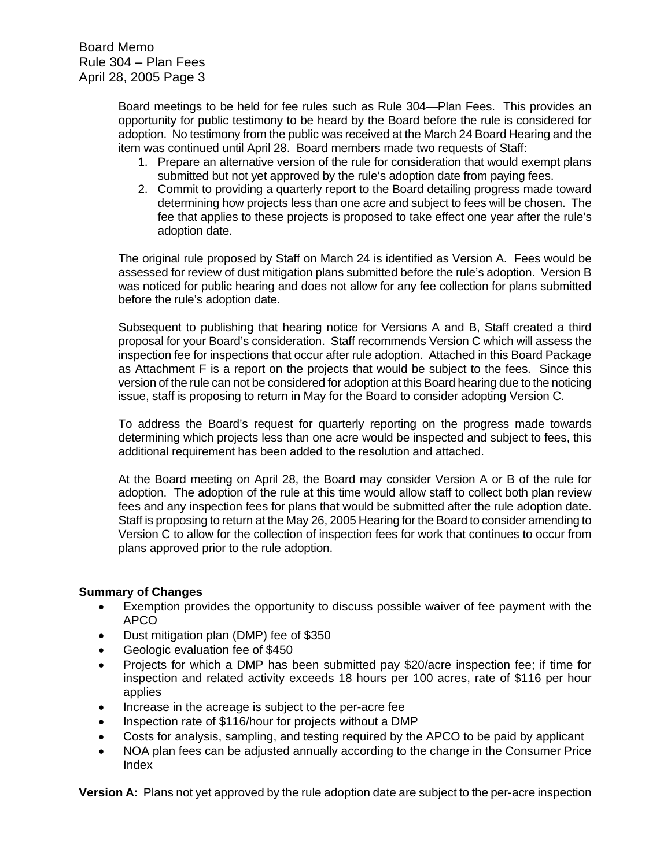Board Memo Rule 304 – Plan Fees April 28, 2005 Page 3

> Board meetings to be held for fee rules such as Rule 304—Plan Fees. This provides an opportunity for public testimony to be heard by the Board before the rule is considered for adoption. No testimony from the public was received at the March 24 Board Hearing and the item was continued until April 28. Board members made two requests of Staff:

- 1. Prepare an alternative version of the rule for consideration that would exempt plans submitted but not yet approved by the rule's adoption date from paying fees.
- 2. Commit to providing a quarterly report to the Board detailing progress made toward determining how projects less than one acre and subject to fees will be chosen. The fee that applies to these projects is proposed to take effect one year after the rule's adoption date.

The original rule proposed by Staff on March 24 is identified as Version A. Fees would be assessed for review of dust mitigation plans submitted before the rule's adoption. Version B was noticed for public hearing and does not allow for any fee collection for plans submitted before the rule's adoption date.

Subsequent to publishing that hearing notice for Versions A and B, Staff created a third proposal for your Board's consideration. Staff recommends Version C which will assess the inspection fee for inspections that occur after rule adoption. Attached in this Board Package as Attachment F is a report on the projects that would be subject to the fees. Since this version of the rule can not be considered for adoption at this Board hearing due to the noticing issue, staff is proposing to return in May for the Board to consider adopting Version C.

To address the Board's request for quarterly reporting on the progress made towards determining which projects less than one acre would be inspected and subject to fees, this additional requirement has been added to the resolution and attached.

At the Board meeting on April 28, the Board may consider Version A or B of the rule for adoption. The adoption of the rule at this time would allow staff to collect both plan review fees and any inspection fees for plans that would be submitted after the rule adoption date. Staff is proposing to return at the May 26, 2005 Hearing for the Board to consider amending to Version C to allow for the collection of inspection fees for work that continues to occur from plans approved prior to the rule adoption.

### **Summary of Changes**

- Exemption provides the opportunity to discuss possible waiver of fee payment with the APCO
- Dust mitigation plan (DMP) fee of \$350
- Geologic evaluation fee of \$450
- Projects for which a DMP has been submitted pay \$20/acre inspection fee; if time for inspection and related activity exceeds 18 hours per 100 acres, rate of \$116 per hour applies
- Increase in the acreage is subject to the per-acre fee
- Inspection rate of \$116/hour for projects without a DMP
- Costs for analysis, sampling, and testing required by the APCO to be paid by applicant
- NOA plan fees can be adjusted annually according to the change in the Consumer Price Index

**Version A:** Plans not yet approved by the rule adoption date are subject to the per-acre inspection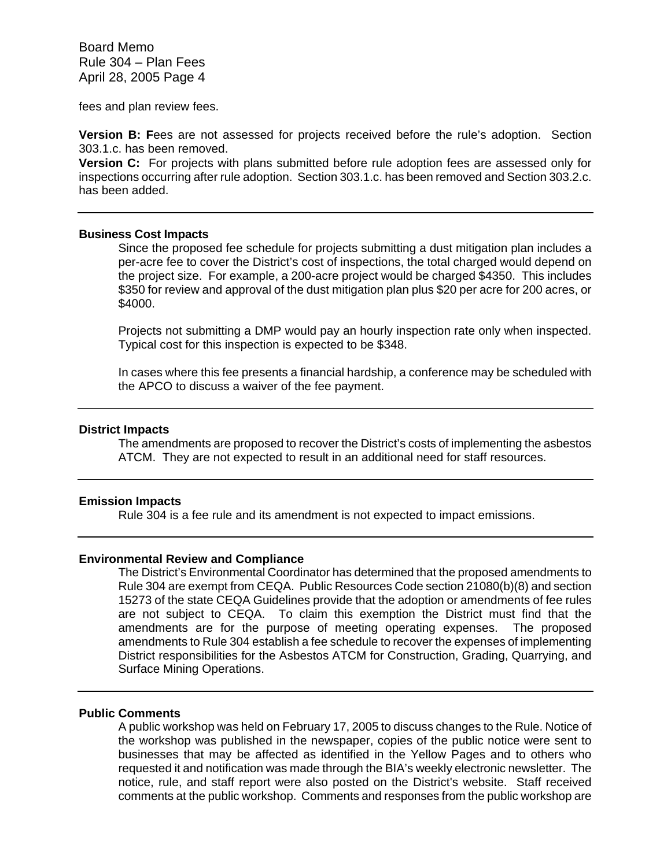Board Memo Rule 304 – Plan Fees April 28, 2005 Page 4

fees and plan review fees.

**Version B: F**ees are not assessed for projects received before the rule's adoption. Section 303.1.c. has been removed.

**Version C:** For projects with plans submitted before rule adoption fees are assessed only for inspections occurring after rule adoption. Section 303.1.c. has been removed and Section 303.2.c. has been added.

#### **Business Cost Impacts**

Since the proposed fee schedule for projects submitting a dust mitigation plan includes a per-acre fee to cover the District's cost of inspections, the total charged would depend on the project size. For example, a 200-acre project would be charged \$4350. This includes \$350 for review and approval of the dust mitigation plan plus \$20 per acre for 200 acres, or \$4000.

Projects not submitting a DMP would pay an hourly inspection rate only when inspected. Typical cost for this inspection is expected to be \$348.

In cases where this fee presents a financial hardship, a conference may be scheduled with the APCO to discuss a waiver of the fee payment.

#### **District Impacts**

The amendments are proposed to recover the District's costs of implementing the asbestos ATCM. They are not expected to result in an additional need for staff resources.

#### **Emission Impacts**

Rule 304 is a fee rule and its amendment is not expected to impact emissions.

### **Environmental Review and Compliance**

The District's Environmental Coordinator has determined that the proposed amendments to Rule 304 are exempt from CEQA. Public Resources Code section 21080(b)(8) and section 15273 of the state CEQA Guidelines provide that the adoption or amendments of fee rules are not subject to CEQA. To claim this exemption the District must find that the amendments are for the purpose of meeting operating expenses. The proposed amendments to Rule 304 establish a fee schedule to recover the expenses of implementing District responsibilities for the Asbestos ATCM for Construction, Grading, Quarrying, and Surface Mining Operations.

#### **Public Comments**

A public workshop was held on February 17, 2005 to discuss changes to the Rule. Notice of the workshop was published in the newspaper, copies of the public notice were sent to businesses that may be affected as identified in the Yellow Pages and to others who requested it and notification was made through the BIA's weekly electronic newsletter. The notice, rule, and staff report were also posted on the District's website. Staff received comments at the public workshop. Comments and responses from the public workshop are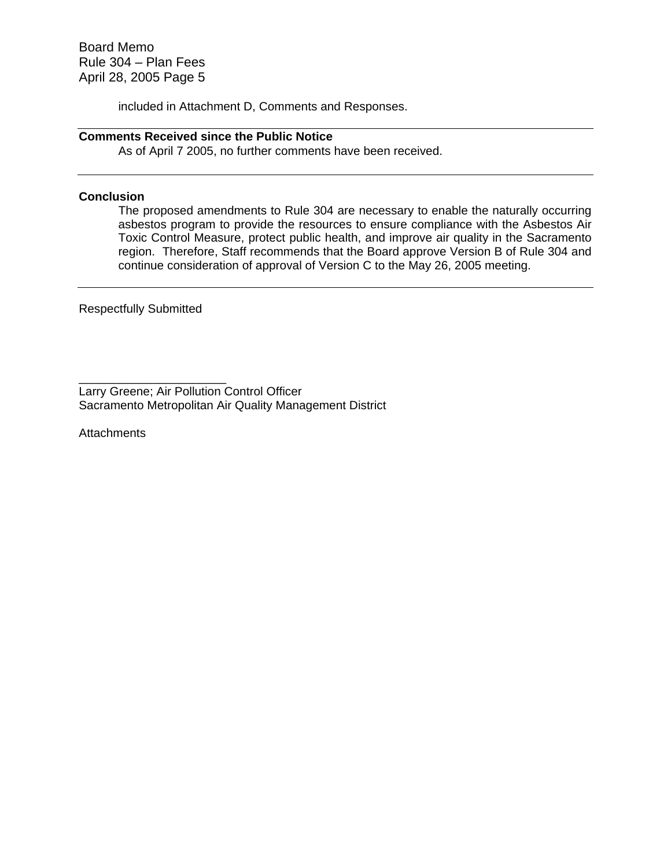Board Memo Rule 304 – Plan Fees April 28, 2005 Page 5

included in Attachment D, Comments and Responses.

### **Comments Received since the Public Notice**

As of April 7 2005, no further comments have been received.

### **Conclusion**

The proposed amendments to Rule 304 are necessary to enable the naturally occurring asbestos program to provide the resources to ensure compliance with the Asbestos Air Toxic Control Measure, protect public health, and improve air quality in the Sacramento region. Therefore, Staff recommends that the Board approve Version B of Rule 304 and continue consideration of approval of Version C to the May 26, 2005 meeting.

Respectfully Submitted

\_\_\_\_\_\_\_\_\_\_\_\_\_\_\_\_\_\_\_\_\_\_ Larry Greene; Air Pollution Control Officer Sacramento Metropolitan Air Quality Management District

**Attachments**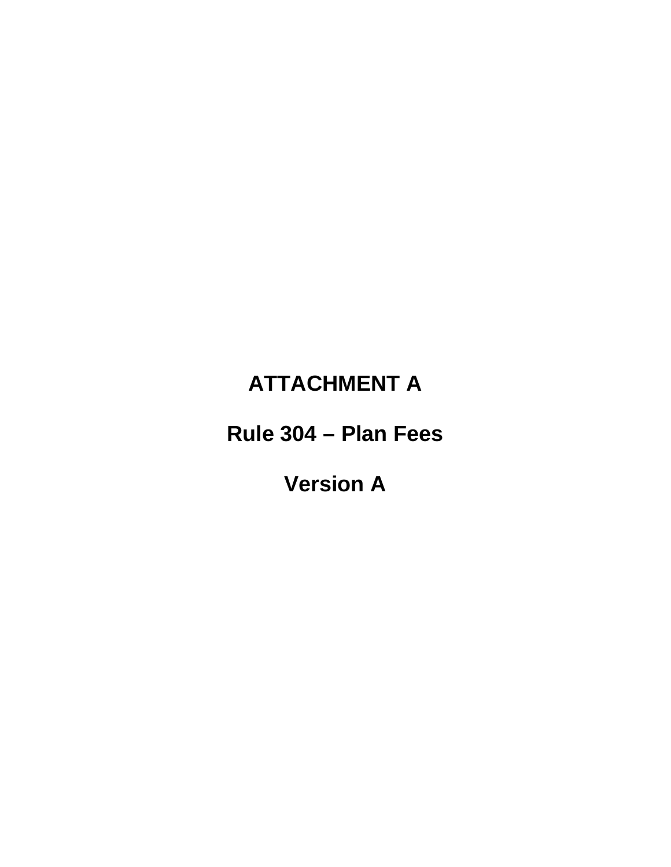### **ATTACHMENT A**

**Rule 304 – Plan Fees** 

**Version A**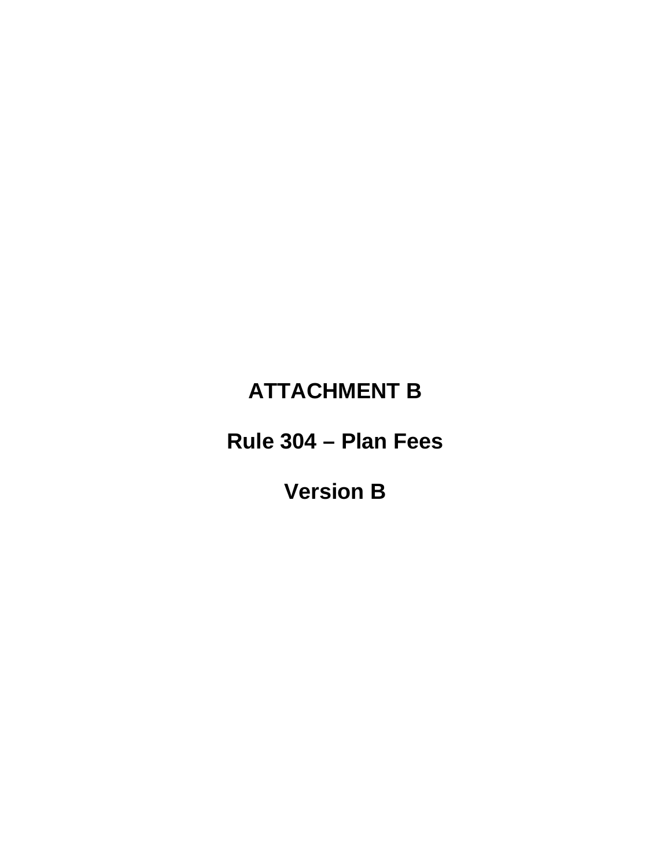# **ATTACHMENT B**

**Rule 304 – Plan Fees** 

**Version B**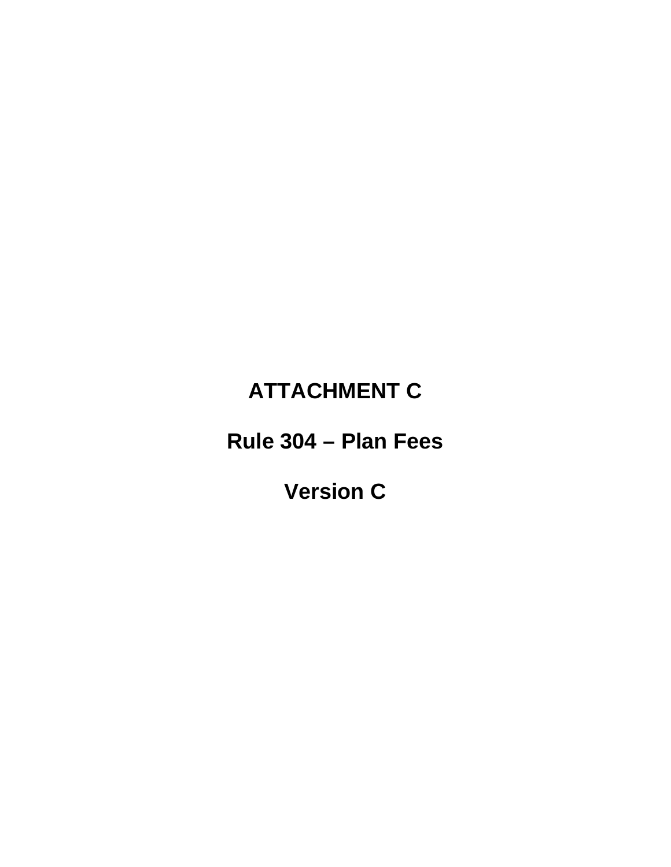# **ATTACHMENT C**

**Rule 304 – Plan Fees** 

**Version C**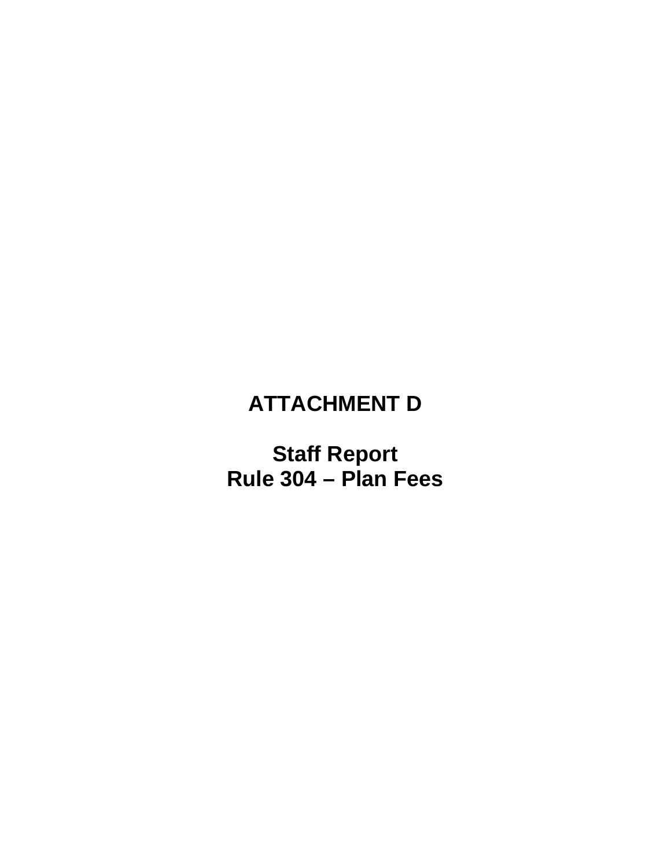# **ATTACHMENT D**

**Staff Report Rule 304 – Plan Fees**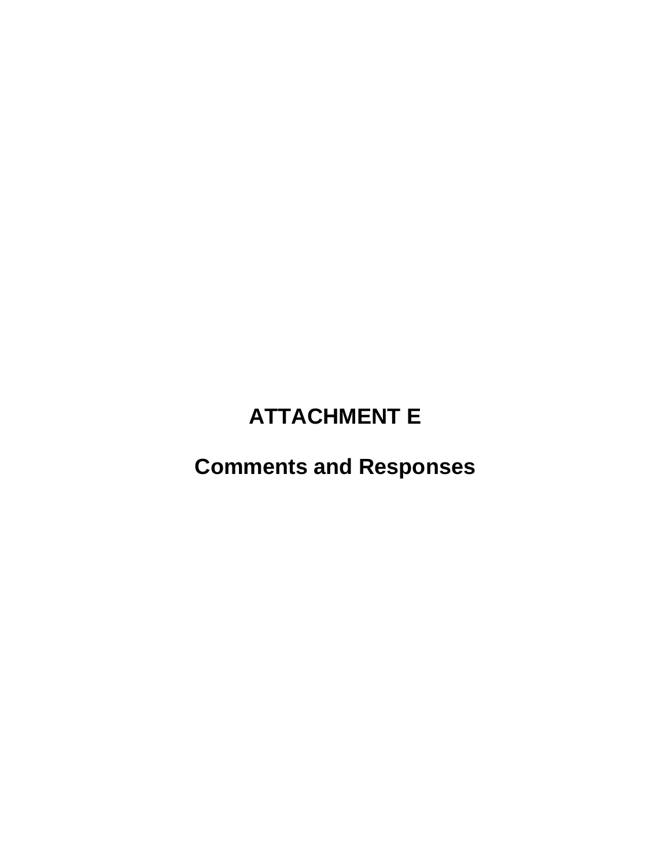## **ATTACHMENT E**

## **Comments and Responses**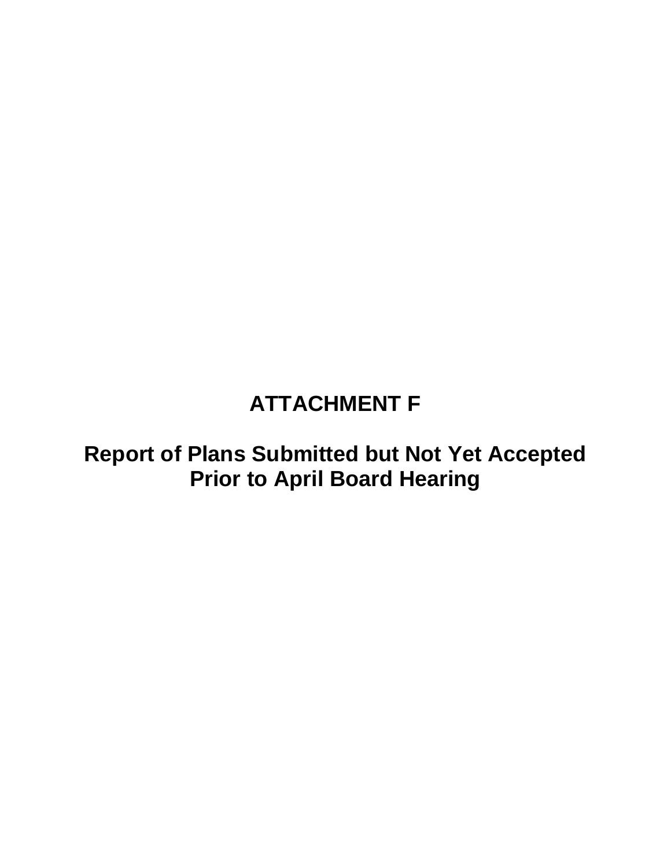## **ATTACHMENT F**

### **Report of Plans Submitted but Not Yet Accepted Prior to April Board Hearing**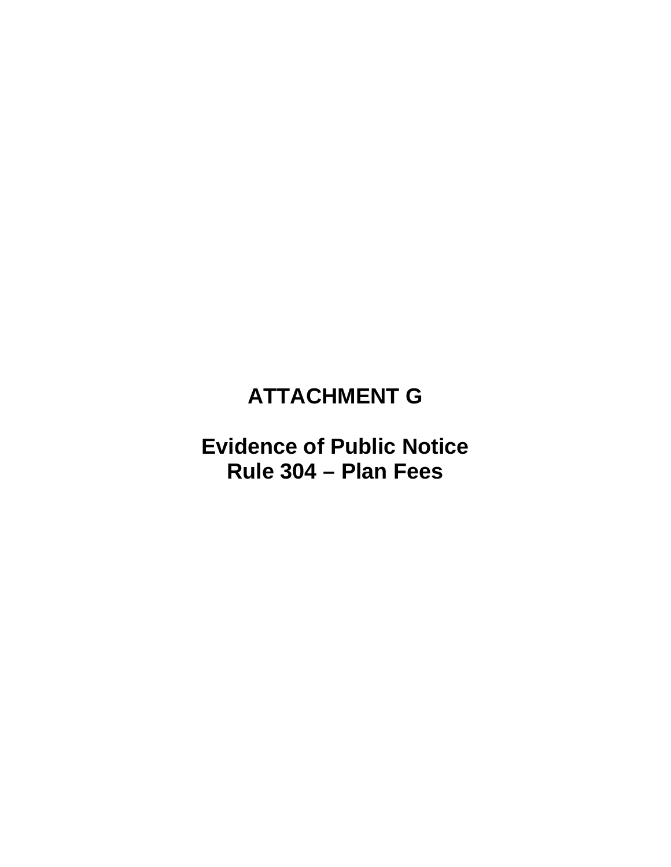### **ATTACHMENT G**

### **Evidence of Public Notice Rule 304 – Plan Fees**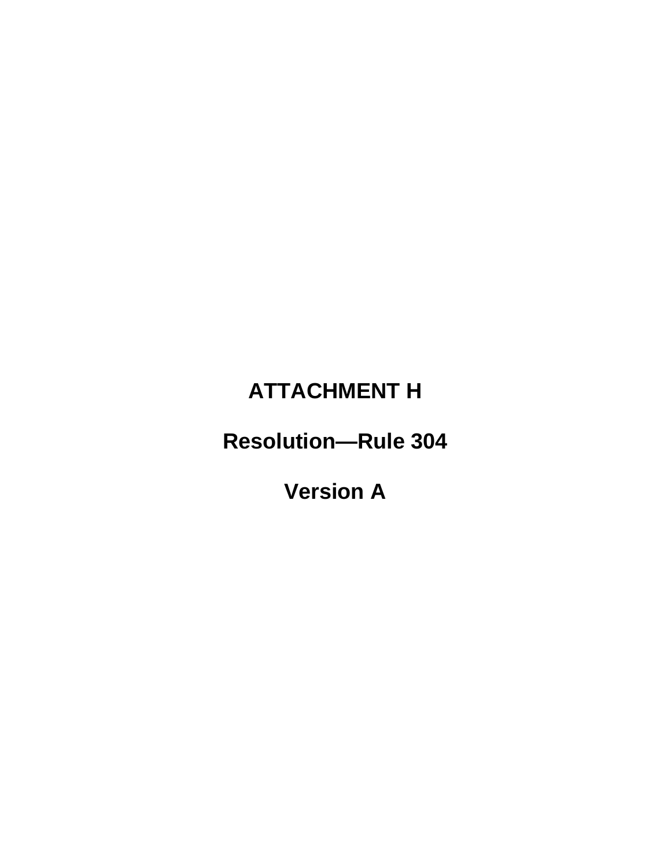# **ATTACHMENT H**

# **Resolution—Rule 304**

**Version A**